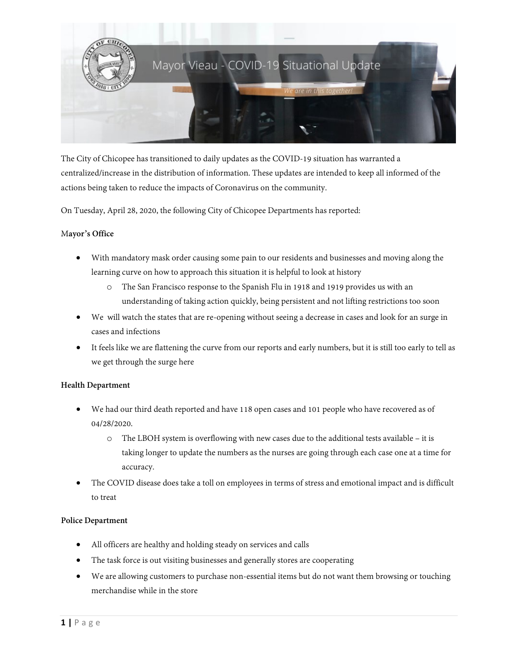

The City of Chicopee has transitioned to daily updates as the COVID-19 situation has warranted a centralized/increase in the distribution of information. These updates are intended to keep all informed of the actions being taken to reduce the impacts of Coronavirus on the community.

On Tuesday, April 28, 2020, the following City of Chicopee Departments has reported:

# M**ayor's Office**

- With mandatory mask order causing some pain to our residents and businesses and moving along the learning curve on how to approach this situation it is helpful to look at history
	- o The San Francisco response to the Spanish Flu in 1918 and 1919 provides us with an understanding of taking action quickly, being persistent and not lifting restrictions too soon
- We will watch the states that are re-opening without seeing a decrease in cases and look for an surge in cases and infections
- It feels like we are flattening the curve from our reports and early numbers, but it is still too early to tell as we get through the surge here

### **Health Department**

- We had our third death reported and have 118 open cases and 101 people who have recovered as of 04/28/2020.
	- o The LBOH system is overflowing with new cases due to the additional tests available it is taking longer to update the numbers as the nurses are going through each case one at a time for accuracy.
- The COVID disease does take a toll on employees in terms of stress and emotional impact and is difficult to treat

### **Police Department**

- All officers are healthy and holding steady on services and calls
- The task force is out visiting businesses and generally stores are cooperating
- We are allowing customers to purchase non-essential items but do not want them browsing or touching merchandise while in the store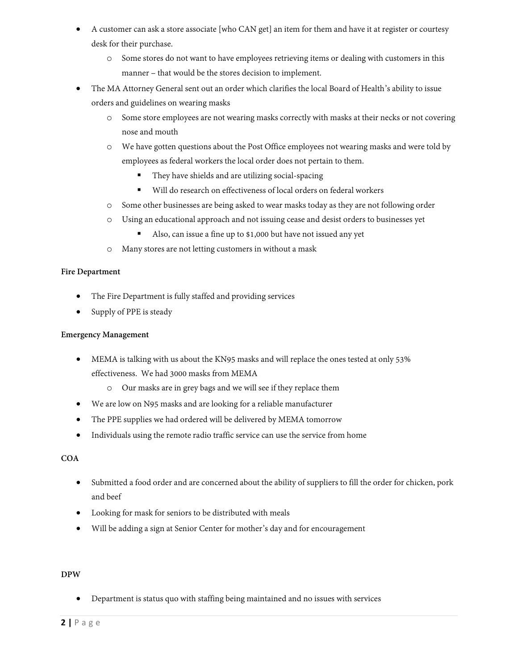- A customer can ask a store associate [who CAN get] an item for them and have it at register or courtesy desk for their purchase.
	- o Some stores do not want to have employees retrieving items or dealing with customers in this manner – that would be the stores decision to implement.
- The MA Attorney General sent out an order which clarifies the local Board of Health's ability to issue orders and guidelines on wearing masks
	- o Some store employees are not wearing masks correctly with masks at their necks or not covering nose and mouth
	- o We have gotten questions about the Post Office employees not wearing masks and were told by employees as federal workers the local order does not pertain to them.
		- They have shields and are utilizing social-spacing
		- Will do research on effectiveness of local orders on federal workers
	- o Some other businesses are being asked to wear masks today as they are not following order
	- o Using an educational approach and not issuing cease and desist orders to businesses yet
		- Also, can issue a fine up to \$1,000 but have not issued any yet
	- o Many stores are not letting customers in without a mask

# **Fire Department**

- The Fire Department is fully staffed and providing services
- Supply of PPE is steady

## **Emergency Management**

- MEMA is talking with us about the KN95 masks and will replace the ones tested at only 53% effectiveness. We had 3000 masks from MEMA
	- o Our masks are in grey bags and we will see if they replace them
- We are low on N95 masks and are looking for a reliable manufacturer
- The PPE supplies we had ordered will be delivered by MEMA tomorrow
- Individuals using the remote radio traffic service can use the service from home

# **COA**

- Submitted a food order and are concerned about the ability of suppliers to fill the order for chicken, pork and beef
- Looking for mask for seniors to be distributed with meals
- Will be adding a sign at Senior Center for mother's day and for encouragement

# **DPW**

• Department is status quo with staffing being maintained and no issues with services